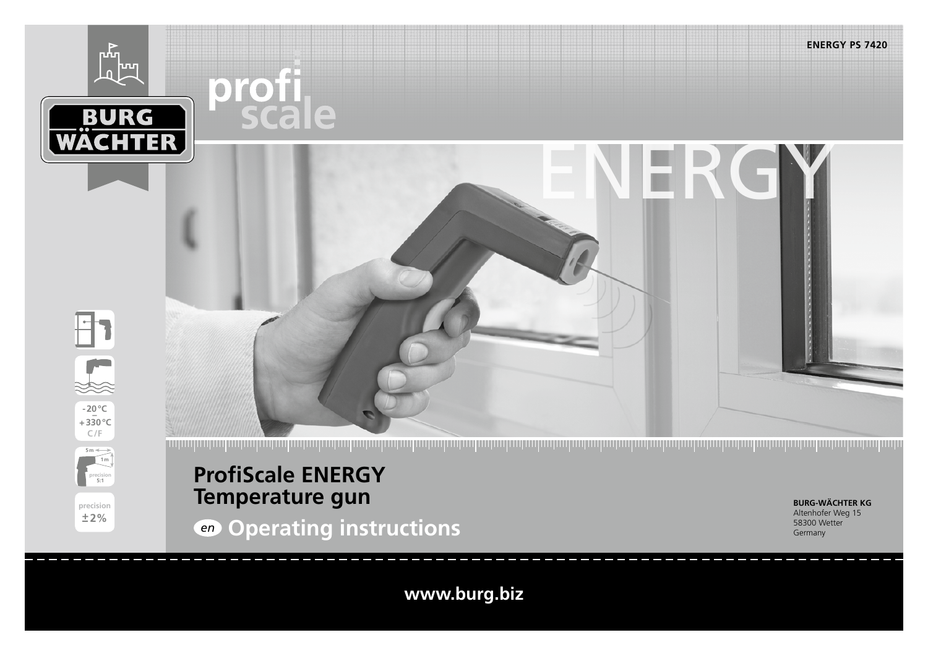

# **ProfiScale ENERGY Temperature gun**

**precision 5:1**

**precision +2%**

**BURG-WÄCHTER KG** Altenhofer Weg 15 58300 Wetter Germany

*en* **Operating instructions**

**www.burg.biz**